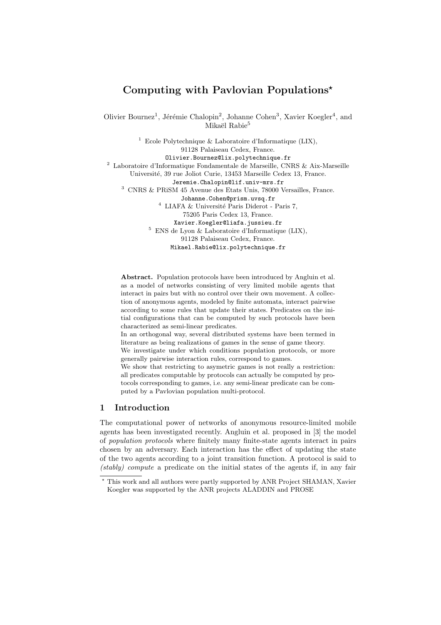# Computing with Pavlovian Populations<sup>\*</sup>

Olivier Bournez<sup>1</sup>, Jérémie Chalopin<sup>2</sup>, Johanne Cohen<sup>3</sup>, Xavier Koegler<sup>4</sup>, and Mikaël Rabie<sup>5</sup>

<sup>1</sup> Ecole Polytechnique & Laboratoire d'Informatique (LIX), 91128 Palaiseau Cedex, France. Olivier.Bournez@lix.polytechnique.fr  $^2$  Laboratoire d'Informatique Fondamentale de Marseille, CNRS & Aix-Marseille Université, 39 rue Joliot Curie, 13453 Marseille Cedex 13, France. Jeremie.Chalopin@lif.univ-mrs.fr <sup>3</sup> CNRS & PRiSM 45 Avenue des Etats Unis, 78000 Versailles, France. Johanne.Cohen@prism.uvsq.fr  $^4$  LIAFA  $\&$  Université Paris Diderot - Paris 7, 75205 Paris Cedex 13, France. Xavier.Koegler@liafa.jussieu.fr <sup>5</sup> ENS de Lyon & Laboratoire d'Informatique (LIX), 91128 Palaiseau Cedex, France.

Mikael.Rabie@lix.polytechnique.fr

Abstract. Population protocols have been introduced by Angluin et al. as a model of networks consisting of very limited mobile agents that interact in pairs but with no control over their own movement. A collection of anonymous agents, modeled by finite automata, interact pairwise according to some rules that update their states. Predicates on the initial configurations that can be computed by such protocols have been characterized as semi-linear predicates.

In an orthogonal way, several distributed systems have been termed in literature as being realizations of games in the sense of game theory.

We investigate under which conditions population protocols, or more generally pairwise interaction rules, correspond to games.

We show that restricting to asymetric games is not really a restriction: all predicates computable by protocols can actually be computed by protocols corresponding to games, i.e. any semi-linear predicate can be computed by a Pavlovian population multi-protocol.

# 1 Introduction

The computational power of networks of anonymous resource-limited mobile agents has been investigated recently. Angluin et al. proposed in [3] the model of *population protocols* where finitely many finite-state agents interact in pairs chosen by an adversary. Each interaction has the effect of updating the state of the two agents according to a joint transition function. A protocol is said to *(stably) compute* a predicate on the initial states of the agents if, in any fair

<sup>!</sup> This work and all authors were partly supported by ANR Project SHAMAN, Xavier Koegler was supported by the ANR projects ALADDIN and PROSE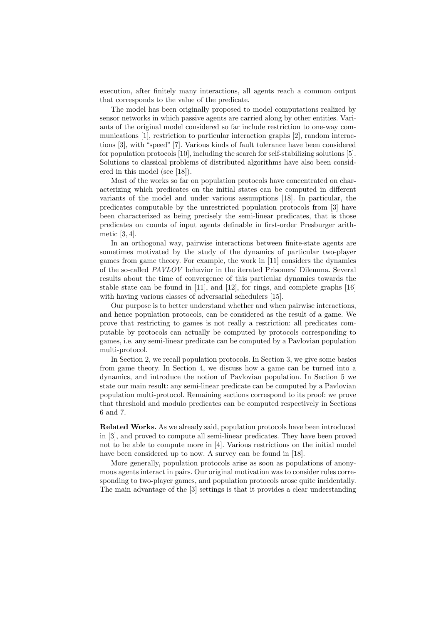execution, after finitely many interactions, all agents reach a common output that corresponds to the value of the predicate.

The model has been originally proposed to model computations realized by sensor networks in which passive agents are carried along by other entities. Variants of the original model considered so far include restriction to one-way communications [1], restriction to particular interaction graphs [2], random interactions [3], with "speed" [7]. Various kinds of fault tolerance have been considered for population protocols [10], including the search for self-stabilizing solutions [5]. Solutions to classical problems of distributed algorithms have also been considered in this model (see [18]).

Most of the works so far on population protocols have concentrated on characterizing which predicates on the initial states can be computed in different variants of the model and under various assumptions [18]. In particular, the predicates computable by the unrestricted population protocols from [3] have been characterized as being precisely the semi-linear predicates, that is those predicates on counts of input agents definable in first-order Presburger arithmetic [3, 4].

In an orthogonal way, pairwise interactions between finite-state agents are sometimes motivated by the study of the dynamics of particular two-player games from game theory. For example, the work in [11] considers the dynamics of the so-called *PAVLOV* behavior in the iterated Prisoners' Dilemma. Several results about the time of convergence of this particular dynamics towards the stable state can be found in [11], and [12], for rings, and complete graphs [16] with having various classes of adversarial schedulers [15].

Our purpose is to better understand whether and when pairwise interactions, and hence population protocols, can be considered as the result of a game. We prove that restricting to games is not really a restriction: all predicates computable by protocols can actually be computed by protocols corresponding to games, i.e. any semi-linear predicate can be computed by a Pavlovian population multi-protocol.

In Section 2, we recall population protocols. In Section 3, we give some basics from game theory. In Section 4, we discuss how a game can be turned into a dynamics, and introduce the notion of Pavlovian population. In Section 5 we state our main result: any semi-linear predicate can be computed by a Pavlovian population multi-protocol. Remaining sections correspond to its proof: we prove that threshold and modulo predicates can be computed respectively in Sections 6 and 7.

Related Works. As we already said, population protocols have been introduced in [3], and proved to compute all semi-linear predicates. They have been proved not to be able to compute more in [4]. Various restrictions on the initial model have been considered up to now. A survey can be found in [18].

More generally, population protocols arise as soon as populations of anonymous agents interact in pairs. Our original motivation was to consider rules corresponding to two-player games, and population protocols arose quite incidentally. The main advantage of the [3] settings is that it provides a clear understanding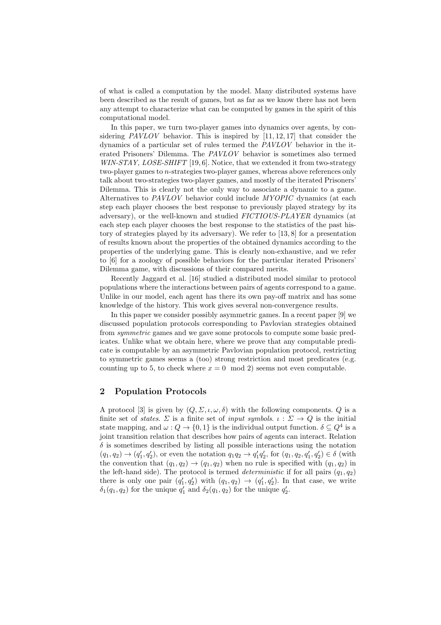of what is called a computation by the model. Many distributed systems have been described as the result of games, but as far as we know there has not been any attempt to characterize what can be computed by games in the spirit of this computational model.

In this paper, we turn two-player games into dynamics over agents, by considering *PAVLOV* behavior. This is inspired by [11, 12, 17] that consider the dynamics of a particular set of rules termed the *PAVLOV* behavior in the iterated Prisoners' Dilemma. The *PAVLOV* behavior is sometimes also termed *WIN-STAY, LOSE-SHIFT* [19, 6]. Notice, that we extended it from two-strategy two-player games to *n*-strategies two-player games, whereas above references only talk about two-strategies two-player games, and mostly of the iterated Prisoners' Dilemma. This is clearly not the only way to associate a dynamic to a game. Alternatives to *PAVLOV* behavior could include *MYOPIC* dynamics (at each step each player chooses the best response to previously played strategy by its adversary), or the well-known and studied *FICTIOUS-PLAYER* dynamics (at each step each player chooses the best response to the statistics of the past history of strategies played by its adversary). We refer to [13, 8] for a presentation of results known about the properties of the obtained dynamics according to the properties of the underlying game. This is clearly non-exhaustive, and we refer to [6] for a zoology of possible behaviors for the particular iterated Prisoners' Dilemma game, with discussions of their compared merits.

Recently Jaggard et al. [16] studied a distributed model similar to protocol populations where the interactions between pairs of agents correspond to a game. Unlike in our model, each agent has there its own pay-off matrix and has some knowledge of the history. This work gives several non-convergence results.

In this paper we consider possibly asymmetric games. In a recent paper [9] we discussed population protocols corresponding to Pavlovian strategies obtained from *symmetric* games and we gave some protocols to compute some basic predicates. Unlike what we obtain here, where we prove that any computable predicate is computable by an asymmetric Pavlovian population protocol, restricting to symmetric games seems a (too) strong restriction and most predicates (e.g. counting up to 5, to check where  $x = 0 \mod 2$  seems not even computable.

# 2 Population Protocols

A protocol [3] is given by  $(Q, \Sigma, \iota, \omega, \delta)$  with the following components. Q is a finite set of *states*.  $\Sigma$  is a finite set of *input symbols.*  $\iota : \Sigma \to Q$  is the initial state mapping, and  $\omega$ :  $Q \to \{0, 1\}$  is the individual output function.  $\delta \subseteq Q^4$  is a joint transition relation that describes how pairs of agents can interact. Relation  $\delta$  is sometimes described by listing all possible interactions using the notation  $(q_1, q_2) \to (q'_1, q'_2)$ , or even the notation  $q_1q_2 \to q'_1q'_2$ , for  $(q_1, q_2, q'_1, q'_2) \in \delta$  (with the convention that  $(q_1, q_2) \rightarrow (q_1, q_2)$  when no rule is specified with  $(q_1, q_2)$  in the left-hand side). The protocol is termed *deterministic* if for all pairs  $(q_1, q_2)$ there is only one pair  $(q'_1, q'_2)$  with  $(q_1, q_2) \rightarrow (q'_1, q'_2)$ . In that case, we write  $\delta_1(q_1, q_2)$  for the unique  $q'_1$  and  $\delta_2(q_1, q_2)$  for the unique  $q'_2$ .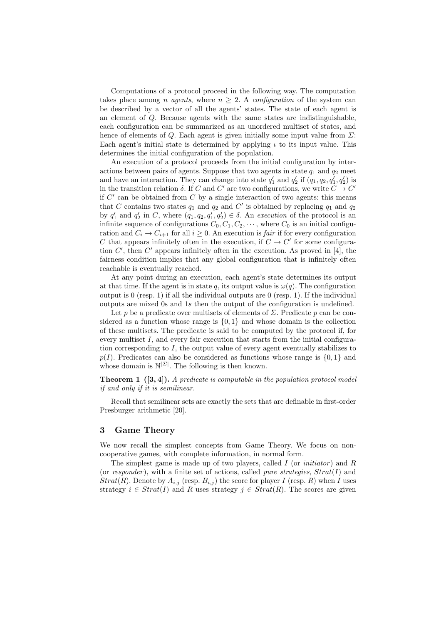Computations of a protocol proceed in the following way. The computation takes place among *n agents*, where  $n \geq 2$ . A *configuration* of the system can be described by a vector of all the agents' states. The state of each agent is an element of *Q*. Because agents with the same states are indistinguishable, each configuration can be summarized as an unordered multiset of states, and hence of elements of  $Q$ . Each agent is given initially some input value from  $\Sigma$ : Each agent's initial state is determined by applying  $\iota$  to its input value. This determines the initial configuration of the population.

An execution of a protocol proceeds from the initial configuration by interactions between pairs of agents. Suppose that two agents in state  $q_1$  and  $q_2$  meet and have an interaction. They can change into state  $q'_1$  and  $q'_2$  if  $(q_1, q_2, q'_1, q'_2)$  is in the transition relation  $\delta$ . If *C* and *C'* are two configurations, we write  $C \to C'$ if *C*! can be obtained from *C* by a single interaction of two agents: this means that *C* contains two states  $q_1$  and  $q_2$  and *C*' is obtained by replacing  $q_1$  and  $q_2$ by  $q'_1$  and  $q'_2$  in *C*, where  $(q_1, q_2, q'_1, q'_2) \in \delta$ . An *execution* of the protocol is an infinite sequence of configurations  $C_0$ ,  $C_1$ ,  $C_2$ ,  $\cdots$ , where  $C_0$  is an initial configuration and  $C_i \to C_{i+1}$  for all  $i \geq 0$ . An execution is *fair* if for every configuration *C* that appears infinitely often in the execution, if  $C \rightarrow C'$  for some configuration *C'*, then *C'* appears infinitely often in the execution. As proved in [4], the fairness condition implies that any global configuration that is infinitely often reachable is eventually reached.

At any point during an execution, each agent's state determines its output at that time. If the agent is in state q, its output value is  $\omega(q)$ . The configuration output is 0 (resp. 1) if all the individual outputs are 0 (resp. 1). If the individual outputs are mixed 0s and 1*s* then the output of the configuration is undefined.

Let *p* be a predicate over multisets of elements of  $\Sigma$ . Predicate *p* can be considered as a function whose range is  $\{0, 1\}$  and whose domain is the collection of these multisets. The predicate is said to be computed by the protocol if, for every multiset  $I$ , and every fair execution that starts from the initial configuration corresponding to *I*, the output value of every agent eventually stabilizes to  $p(I)$ . Predicates can also be considered as functions whose range is  $\{0, 1\}$  and whose domain is N*|*Σ*<sup>|</sup>* . The following is then known.

Theorem 1 ([3, 4]). *A predicate is computable in the population protocol model if and only if it is semilinear.*

Recall that semilinear sets are exactly the sets that are definable in first-order Presburger arithmetic [20].

#### 3 Game Theory

We now recall the simplest concepts from Game Theory. We focus on noncooperative games, with complete information, in normal form.

The simplest game is made up of two players, called *I* (or *initiator* ) and *R* (or *responder*), with a finite set of actions, called *pure strategies*, *Strat*(*I*) and *Strat*(*R*). Denote by  $A_{i,j}$  (resp.  $B_{i,j}$ ) the score for player *I* (resp. *R*) when *I* uses strategy  $i \in \text{Strat}(I)$  and R uses strategy  $j \in \text{Strat}(R)$ . The scores are given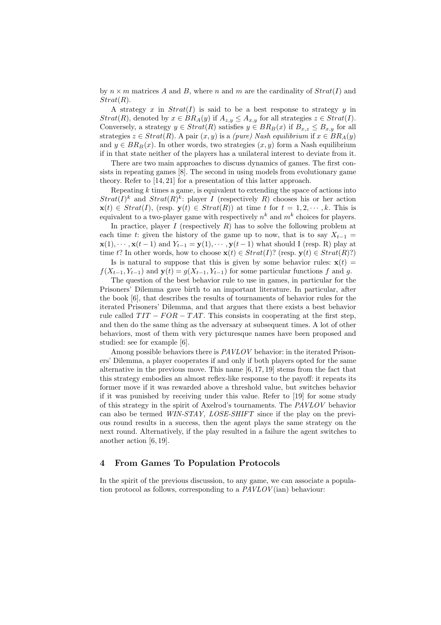by  $n \times m$  matrices A and B, where n and m are the cardinality of  $Strat(I)$  and *Strat*(*R*).

A strategy *x* in *Strat*(*I*) is said to be a best response to strategy *y* in *Strat*(*R*), denoted by  $x \in BR_A(y)$  if  $A_{z,y} \leq A_{x,y}$  for all strategies  $z \in Strat(I)$ . Conversely, a strategy  $y \in Strat(R)$  satisfies  $y \in BR_B(x)$  if  $B_{x,z} \leq B_{x,y}$  for all strategies  $z \in \text{Strat}(R)$ . A pair  $(x, y)$  is a *(pure)* Nash equilibrium if  $x \in BR_A(y)$ and  $y \in BR_B(x)$ . In other words, two strategies  $(x, y)$  form a Nash equilibrium if in that state neither of the players has a unilateral interest to deviate from it.

There are two main approaches to discuss dynamics of games. The first consists in repeating games [8]. The second in using models from evolutionary game theory. Refer to [14, 21] for a presentation of this latter approach.

Repeating *k* times a game, is equivalent to extending the space of actions into  $Strat(I)^k$  and  $Strat(R)^k$ : player *I* (respectively *R*) chooses his or her action  $\mathbf{x}(t) \in \text{Strat}(I)$ , (resp.  $\mathbf{v}(t) \in \text{Strat}(R)$ ) at time *t* for  $t = 1, 2, \dots, k$ . This is equivalent to a two-player game with respectively  $n^k$  and  $m^k$  choices for players.

In practice, player *I* (respectively *R*) has to solve the following problem at each time *t*: given the history of the game up to now, that is to say  $X_{t-1}$  =  $\mathbf{x}(1), \dots, \mathbf{x}(t-1)$  and  $Y_{t-1} = \mathbf{y}(1), \dots, \mathbf{y}(t-1)$  what should I (resp. R) play at time *t*? In other words, how to choose  $\mathbf{x}(t) \in \text{Strat}(I)$ ? (resp.  $\mathbf{y}(t) \in \text{Strat}(R)$ ?)

Is is natural to suppose that this is given by some behavior rules:  $\mathbf{x}(t)$  =  $f(X_{t-1}, Y_{t-1})$  and  $\mathbf{y}(t) = g(X_{t-1}, Y_{t-1})$  for some particular functions *f* and *g*.

The question of the best behavior rule to use in games, in particular for the Prisoners' Dilemma gave birth to an important literature. In particular, after the book [6], that describes the results of tournaments of behavior rules for the iterated Prisoners' Dilemma, and that argues that there exists a best behavior rule called  $TIT - FOR - TAT$ . This consists in cooperating at the first step, and then do the same thing as the adversary at subsequent times. A lot of other behaviors, most of them with very picturesque names have been proposed and studied: see for example [6].

Among possible behaviors there is *PAVLOV* behavior: in the iterated Prisoners' Dilemma, a player cooperates if and only if both players opted for the same alternative in the previous move. This name [6, 17, 19] stems from the fact that this strategy embodies an almost reflex-like response to the payoff: it repeats its former move if it was rewarded above a threshold value, but switches behavior if it was punished by receiving under this value. Refer to [19] for some study of this strategy in the spirit of Axelrod's tournaments. The *PAVLOV* behavior can also be termed *WIN-STAY, LOSE-SHIFT* since if the play on the previous round results in a success, then the agent plays the same strategy on the next round. Alternatively, if the play resulted in a failure the agent switches to another action [6, 19].

## 4 From Games To Population Protocols

In the spirit of the previous discussion, to any game, we can associate a population protocol as follows, corresponding to a *PAVLOV* (ian) behaviour: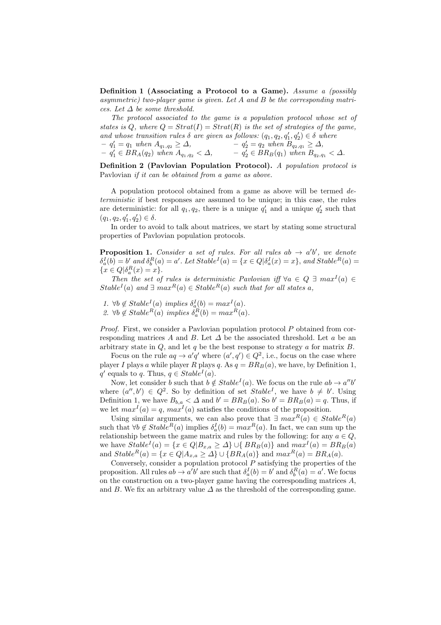Definition 1 (Associating a Protocol to a Game). *Assume a (possibly asymmetric) two-player game is given. Let A and B be the corresponding matrices. Let* ∆ *be some threshold.*

*The protocol associated to the game is a population protocol whose set of states is*  $Q$ , where  $Q = \text{Strat}(I) = \text{Strat}(R)$  *is the set of strategies of the game. and whose transition rules*  $\delta$  *are given as follows:*  $(q_1, q_2, q'_1, q'_2) \in \delta$  *where*  $- q'_1 = q_1$  *when*  $A_{q_1,q_2} \geq \Delta$ ,  $- q'_1 \in BR_A(q_2)$  when  $A_{q_1,q_2} < \Delta$ ,  $-q_2' = q_2$  *when*  $B_{q_2,q_1} \geq \Delta$ ,  $- q'_2 \in BR_B(q_1)$  when  $B_{q_2,q_1} < \Delta$ .

Definition 2 (Pavlovian Population Protocol). *A population protocol is* Pavlovian *if it can be obtained from a game as above.*

A population protocol obtained from a game as above will be termed *deterministic* if best responses are assumed to be unique; in this case, the rules are deterministic: for all  $q_1, q_2$ , there is a unique  $q'_1$  and a unique  $q'_2$  such that  $(q_1, q_2, q'_1, q'_2) \in \delta.$ 

In order to avoid to talk about matrices, we start by stating some structural properties of Pavlovian population protocols.

**Proposition 1.** Consider a set of rules. For all rules ab  $\rightarrow$  a'b', we denote  $\delta_a^I(b) = b'$  and  $\delta_b^R(a) = a'$ . Let  $Stable^I(a) = \{x \in Q | \delta_a^I(x) = x\}$ , and  $Stable^R(a) = a'$ . { $x \in Q | \delta_a^R(x) = x$  }*.* 

*Then the set of rules is deterministic Pavlovian iff*  $\forall a \in Q \exists max^{I}(a) \in Q$ *Stable<sup><i>I*</sup>(*a*) *and*  $\exists max^R(a) \in Stable^R(a)$  *such that for all states a,* 

*1.*  $\forall b \notin Stable^{I}(a) \implies \delta_{a}^{I}(b) = max^{I}(a)$ .

2.  $\forall b \notin Stable^{R}(a) \implies \delta_{a}^{R}(b) = max^{R}(a)$ .

*Proof.* First, we consider a Pavlovian population protocol *P* obtained from corresponding matrices A and B. Let  $\Delta$  be the associated threshold. Let a be an arbitrary state in *Q*, and let *q* be the best response to strategy *a* for matrix *B*.

Focus on the rule  $aq \rightarrow a'q'$  where  $(a', q') \in Q^2$ , i.e., focus on the case where player *I* plays *a* while player *R* plays *q*. As  $q = BR_B(a)$ , we have, by Definition 1,  $q'$  equals to *q*. Thus,  $q \in Stable<sup>I</sup>(a)$ .

Now, let consider *b* such that  $b \notin Stable^I(a)$ . We focus on the rule  $ab \rightarrow a''b'$ where  $(a'', b') \in Q^2$ . So by definition of set *Stable<sup>I</sup>*, we have  $b \neq b'$ . Using Definition 1, we have  $B_{b,a} < \Delta$  and  $b' = BR_B(a)$ . So  $b' = BR_B(a) = q$ . Thus, if we let  $max<sup>I</sup>(a) = q$ ,  $max<sup>I</sup>(a)$  satisfies the conditions of the proposition.

Using similar arguments, we can also prove that  $\exists max^R(a) \in Stable^R(a)$ such that  $\forall b \notin Stable^{R}(a)$  implies  $\delta_{a}^{I}(b) = max^{R}(a)$ . In fact, we can sum up the relationship between the game matrix and rules by the following: for any  $a \in Q$ , we have  $Stable^I(a) = \{x \in Q | B_{x,a} \ge \Delta\} \cup \{BR_B(a)\}$  and  $max^I(a) = BR_B(a)$ and  $Stable^{R}(a) = \{x \in Q | A_{x,a} \ge \Delta\} \cup \{BR_A(a)\}\$  and  $max^{R}(a) = BR_A(a)$ .

Conversely, consider a population protocol *P* satisfying the properties of the proposition. All rules  $ab \to a'b'$  are such that  $\delta_a^I(b) = b'$  and  $\delta_b^R(a) = a'$ . We focus on the construction on a two-player game having the corresponding matrices *A*, and *B*. We fix an arbitrary value  $\Delta$  as the threshold of the corresponding game.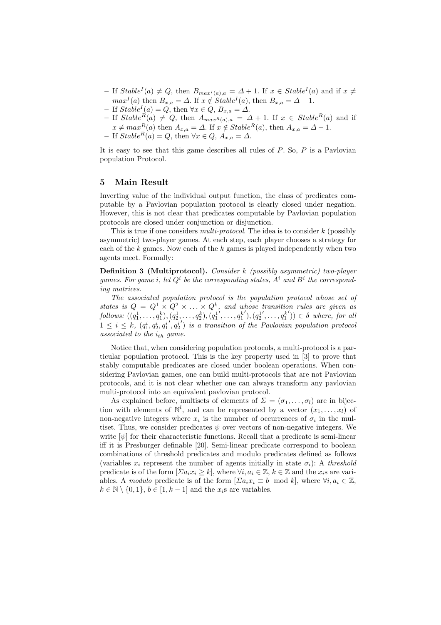- $-$  If *Stable<sup><i>I*</sup>(a) ≠ *Q*, then  $B_{max^I(a),a} = \Delta + 1$ . If  $x \in Stable^I(a)$  and if  $x ≠$ *max*<sup>*I*</sup>(*a*) then  $B_{x,a} = \Delta$ . If  $x \notin Stable^I(a)$ , then  $B_{x,a} = \Delta - 1$ .
- $-$  If  $Stable<sup>I</sup>(a) = Q$ , then  $\forall x \in Q$ ,  $B_{x,a} = \Delta$ .
- $-$  If *Stable*<sup>*R*</sup>(*a*)  $\neq Q$ , then  $A_{maxR(a),a} = \Delta + 1$ . If  $x \in Stable<sup>R</sup>(a)$  and if  $x \neq max^R(a)$  then  $A_{x,a} = \Delta$ . If  $x \notin Stable^R(a)$ , then  $A_{x,a} = \Delta - 1$ .
- If *Stable<sup>R</sup>*(*a*) = *<sup>Q</sup>*, then <sup>∀</sup>*<sup>x</sup>* <sup>∈</sup> *<sup>Q</sup>*, *<sup>A</sup>x,a* <sup>=</sup> <sup>∆</sup>.

It is easy to see that this game describes all rules of *P*. So, *P* is a Pavlovian population Protocol.

#### 5 Main Result

Inverting value of the individual output function, the class of predicates computable by a Pavlovian population protocol is clearly closed under negation. However, this is not clear that predicates computable by Pavlovian population protocols are closed under conjunction or disjunction.

This is true if one considers *multi-protocol*. The idea is to consider *k* (possibly asymmetric) two-player games. At each step, each player chooses a strategy for each of the *k* games. Now each of the *k* games is played independently when two agents meet. Formally:

Definition 3 (Multiprotocol). *Consider k (possibly asymmetric) two-player games. For game i, let*  $Q^i$  *be the corresponding states,*  $A^i$  *and*  $B^i$  *the corresponding matrices.*

*The associated population protocol is the population protocol whose set of states is*  $Q = Q^1 \times Q^2 \times \ldots \times Q^k$ , and whose transition rules are given as follows:  $((q_1^1, \ldots, q_1^k), (q_2^1, \ldots, q_2^k), (q_1^1', \ldots, q_1^{k'}), (q_2^1', \ldots, q_1^{k'})) \in \delta$  where, for all  $1 \leq i \leq k$ ,  $(q_1^i, q_2^i, q_1^{i'}, q_2^{i'})$  *is a transition of the Pavlovian population protocol associated to the ith game.*

Notice that, when considering population protocols, a multi-protocol is a particular population protocol. This is the key property used in [3] to prove that stably computable predicates are closed under boolean operations. When considering Pavlovian games, one can build multi-protocols that are not Pavlovian protocols, and it is not clear whether one can always transform any pavlovian multi-protocol into an equivalent pavlovian protocol.

As explained before, multisets of elements of  $\Sigma = (\sigma_1, \ldots, \sigma_l)$  are in bijection with elements of  $\mathbb{N}^l$ , and can be represented by a vector  $(x_1, \ldots, x_l)$  of non-negative integers where  $x_i$  is the number of occurrences of  $\sigma_i$  in the multiset. Thus, we consider predicates  $\psi$  over vectors of non-negative integers. We write  $[\psi]$  for their characteristic functions. Recall that a predicate is semi-linear iff it is Presburger definable [20]. Semi-linear predicate correspond to boolean combinations of threshold predicates and modulo predicates defined as follows (variables  $x_i$  represent the number of agents initially in state  $\sigma_i$ ): A *threshold* predicate is of the form  $[\Sigma a_i x_i \geq k]$ , where  $\forall i, a_i \in \mathbb{Z}, k \in \mathbb{Z}$  and the  $x_i$ s are variables. A *modulo* predicate is of the form  $[\Sigma a_i x_i \equiv b \mod k]$ , where  $\forall i, a_i \in \mathbb{Z}$ ,  $k \in \mathbb{N} \setminus \{0, 1\}, b \in [1, k - 1]$  and the  $x_i$ <sup>s</sup> are variables.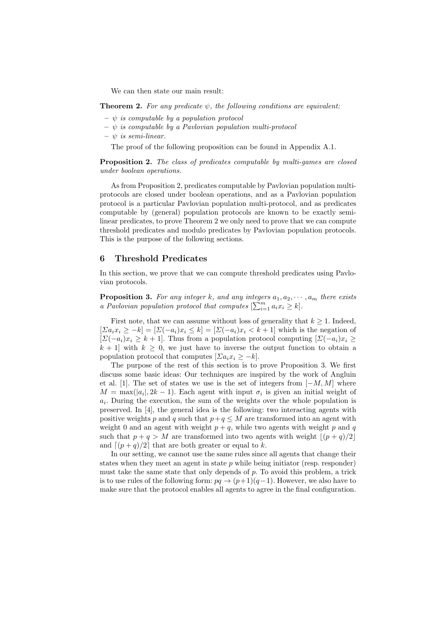We can then state our main result:

**Theorem 2.** For any predicate  $\psi$ , the following conditions are equivalent:

- $\psi$  *is computable by a population protocol*
- ψ *is computable by a Pavlovian population multi-protocol*
- $\psi$  *is semi-linear.*

The proof of the following proposition can be found in Appendix A.1.

Proposition 2. *The class of predicates computable by multi-games are closed under boolean operations.*

As from Proposition 2, predicates computable by Pavlovian population multiprotocols are closed under boolean operations, and as a Pavlovian population protocol is a particular Pavlovian population multi-protocol, and as predicates computable by (general) population protocols are known to be exactly semilinear predicates, to prove Theorem 2 we only need to prove that we can compute threshold predicates and modulo predicates by Pavlovian population protocols. This is the purpose of the following sections.

# 6 Threshold Predicates

In this section, we prove that we can compute threshold predicates using Pavlovian protocols.

**Proposition 3.** For any integer k, and any integers  $a_1, a_2, \dots, a_m$  there exists *a Pavlovian population protocol that computes*  $[\sum_{i=1}^{m} a_i x_i \geq k]$ .

First note, that we can assume without loss of generality that  $k \geq 1$ . Indeed,  $[\Sigma a_i x_i \geq -k] = [\Sigma (-a_i)x_i \leq k] = [\Sigma (-a_i)x_i \leq k+1]$  which is the negation of  $[\Sigma(-a_i)x_i \geq k+1]$ . Thus from a population protocol computing  $[\Sigma(-a_i)x_i \geq k+1]$ .  $k + 1$  with  $k \geq 0$ , we just have to inverse the output function to obtain a population protocol that computes  $[\Sigma a_i x_i \geq -k]$ .

The purpose of the rest of this section is to prove Proposition 3. We first discuss some basic ideas: Our techniques are inspired by the work of Angluin et al. [1]. The set of states we use is the set of integers from [−*M, M*] where  $M = \max(|a_i|, 2k - 1)$ . Each agent with input  $\sigma_i$  is given an initial weight of *ai*. During the execution, the sum of the weights over the whole population is preserved. In [4], the general idea is the following: two interacting agents with positive weights *p* and *q* such that  $p+q \leq M$  are transformed into an agent with weight 0 and an agent with weight  $p + q$ , while two agents with weight p and q such that  $p + q > M$  are transformed into two agents with weight  $|(p + q)/2|$ . and  $\lceil (p+q)/2 \rceil$  that are both greater or equal to *k*.

In our setting, we cannot use the same rules since all agents that change their states when they meet an agent in state *p* while being initiator (resp. responder) must take the same state that only depends of *p*. To avoid this problem, a trick is to use rules of the following form:  $pq \rightarrow (p+1)(q-1)$ . However, we also have to make sure that the protocol enables all agents to agree in the final configuration.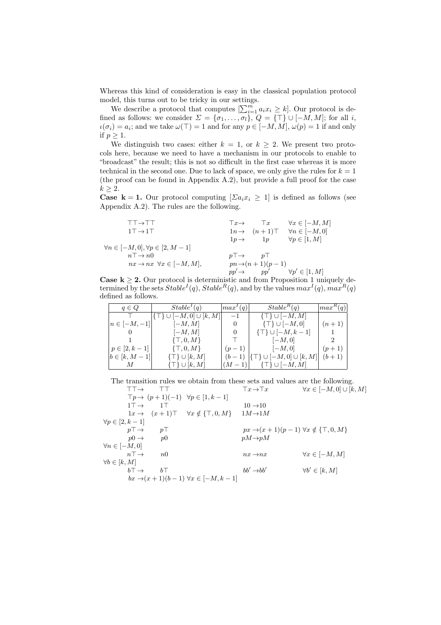Whereas this kind of consideration is easy in the classical population protocol model, this turns out to be tricky in our settings.

We describe a protocol that computes  $\left[\sum_{i=1}^{m} a_i x_i \geq k\right]$ . Our protocol is defined as follows: we consider  $\Sigma = {\sigma_1, \ldots, \sigma_l}, Q = {\top} \cup [-M, M]$ ; for all *i*,  $u(\sigma_i) = a_i$ ; and we take  $\omega(\top) = 1$  and for any  $p \in [-M, M]$ ,  $\omega(p) = 1$  if and only if  $p > 1$ .

We distinguish two cases: either  $k = 1$ , or  $k \geq 2$ . We present two protocols here, because we need to have a mechanism in our protocols to enable to "broadcast" the result; this is not so difficult in the first case whereas it is more technical in the second one. Due to lack of space, we only give the rules for  $k = 1$ (the proof can be found in Appendix A.2), but provide a full proof for the case  $k > 2$ .

**Case k = 1.** Our protocol computing  $[\Sigma a_i x_i \geq 1]$  is defined as follows (see Appendix A.2). The rules are the following.

| $\forall n \in [-M,0]$<br>$1T \rightarrow 1T$<br>$1n \rightarrow (n+1)$<br>$\forall p \in [1, M]$<br>1p<br>$1p \rightarrow$ | $\forall x \in [-M, M]$ |
|-----------------------------------------------------------------------------------------------------------------------------|-------------------------|
|                                                                                                                             |                         |
|                                                                                                                             |                         |
| $\forall n \in [-M,0], \forall p \in [2, M-1]$                                                                              |                         |
| $n\bar{ } \rightarrow n0$<br>$p\top \rightarrow$ $p\bot$                                                                    |                         |
| $nx \rightarrow nx \ \forall x \in [-M, M],$<br>$pn \rightarrow (n+1)(p-1)$                                                 |                         |
| $\forall p' \in [1, M]$<br>pp'<br>$pp' \rightarrow$                                                                         |                         |

**Case k**  $\geq$  2. Our protocol is deterministic and from Proposition 1 uniquely determined by the sets  $Stable^{I}(q)$ ,  $Stable^{R}(q)$ , and by the values  $max^{I}(q)$ ,  $max^{R}(q)$ defined as follows.

| $q \in Q$          | Stable <sup>T</sup> (q)         | $\left  \max^{\prime}(q) \right $ | $Stable^R(q)$                       | $\vert max^{R}(q)\vert$ |
|--------------------|---------------------------------|-----------------------------------|-------------------------------------|-------------------------|
|                    | $ \{\top\}\cup[-M,0]\cup[k,M] $ | $-1$                              | $\{\top\} \cup [-M, M]$             |                         |
| $n \in [-M, -1]$   | $[-M, M]$                       | $\theta$                          | $\{\top\} \cup [-M,0]$              | $(n+1)$                 |
|                    | $[-M, M]$                       | $\theta$                          | $\{\top\} \cup [-M, k-1]$           |                         |
|                    | $\{\top,0,M\}$                  |                                   | $ -M,0 $                            |                         |
| $p \in [2, k-1]$   | $\{\top, 0, M\}$                | $(p-1)$                           | $[-M,0]$                            | $(p+1)$                 |
| $b \in [k, M - 1]$ | $\{\top\} \cup [k, M]$          | $(b-1)$                           | $ \{\top\} \cup [-M,0] \cup [k,M] $ | $(b+1)$                 |
|                    | $\{\top\} \cup [k, M]$          | $(M-1)$                           | $\{\top\} \cup [-M, M]$             |                         |

The transition rules we obtain from these sets and values are the following.

|                          | $TT \rightarrow$          |                |                                                                   | $Tx \rightarrow Tx$                                       | $\forall x \in [-M,0] \cup [k,M]$ |
|--------------------------|---------------------------|----------------|-------------------------------------------------------------------|-----------------------------------------------------------|-----------------------------------|
|                          |                           |                | $\top p \rightarrow (p+1)(-1) \quad \forall p \in [1, k-1]$       |                                                           |                                   |
|                          | $1T \rightarrow$          | 1T             |                                                                   | $10 \rightarrow 10$                                       |                                   |
|                          |                           |                | $1x \rightarrow (x+1) \top \quad \forall x \notin \{\top, 0, M\}$ | $1M\rightarrow 1M$                                        |                                   |
| $\forall p \in [2, k-1]$ |                           |                |                                                                   |                                                           |                                   |
|                          | $p\uparrow \rightarrow$   | $p\top$        |                                                                   | $px \rightarrow (x+1)(p-1) \forall x \notin \{\top,0,M\}$ |                                   |
|                          | $p0 \rightarrow$          | p <sub>0</sub> |                                                                   | $pM \rightarrow pM$                                       |                                   |
| $\forall n \in [-M,0]$   |                           |                |                                                                   |                                                           |                                   |
|                          | $n\bar{=}$                | $n\Omega$      |                                                                   | $nx \rightarrow nx$                                       | $\forall x \in [-M, M]$           |
| $\forall b \in [k, M]$   |                           |                |                                                                   |                                                           |                                   |
|                          | $b^{\dagger} \rightarrow$ | $b\top$        |                                                                   | $bb' \rightarrow bb'$                                     | $\forall b' \in [k, M]$           |
|                          |                           |                | $bx \rightarrow (x+1)(b-1) \forall x \in [-M, k-1]$               |                                                           |                                   |
|                          |                           |                |                                                                   |                                                           |                                   |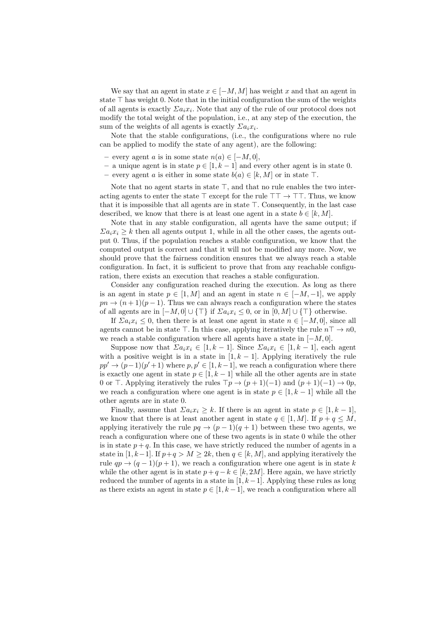We say that an agent in state  $x \in [-M, M]$  has weight x and that an agent in state  $\top$  has weight 0. Note that in the initial configuration the sum of the weights of all agents is exactly  $\sum a_i x_i$ . Note that any of the rule of our protocol does not modify the total weight of the population, i.e., at any step of the execution, the sum of the weights of all agents is exactly  $\sum a_i x_i$ .

Note that the stable configurations, (i.e., the configurations where no rule can be applied to modify the state of any agent), are the following:

- every agent *a* is in some state *n*(*a*) ∈ [−*M,* 0],
- a unique agent is in state *p* ∈ [1*, k* − 1] and every other agent is in state 0.
- every agent *a* is either in some state *b*(*a*) ∈ [*k, M*] or in state ⊤.

Note that no agent starts in state  $\top$ , and that no rule enables the two interacting agents to enter the state  $\top$  except for the rule  $\top \top \rightarrow \top \top$ . Thus, we know that it is impossible that all agents are in state  $\top$ . Consequently, in the last case described, we know that there is at least one agent in a state  $b \in [k, M]$ .

Note that in any stable configuration, all agents have the same output; if  $\sum a_i x_i > k$  then all agents output 1, while in all the other cases, the agents output 0. Thus, if the population reaches a stable configuration, we know that the computed output is correct and that it will not be modified any more. Now, we should prove that the fairness condition ensures that we always reach a stable configuration. In fact, it is sufficient to prove that from any reachable configuration, there exists an execution that reaches a stable configuration.

Consider any configuration reached during the execution. As long as there is an agent in state  $p \in [1, M]$  and an agent in state  $n \in [-M, -1]$ , we apply  $pn \to (n+1)(p-1)$ . Thus we can always reach a configuration where the states of all agents are in  $[-M, 0] \cup \{\top\}$  if  $\sum a_i x_i \leq 0$ , or in  $[0, M] \cup \{\top\}$  otherwise.

If  $\sum a_i x_i \leq 0$ , then there is at least one agent in state  $n \in [-M, 0]$ , since all agents cannot be in state  $\top$ . In this case, applying iteratively the rule  $n\top \rightarrow n0$ , we reach a stable configuration where all agents have a state in [−*M,* 0].

Suppose now that  $\sum a_i x_i \in [1, k-1]$ . Since  $\sum a_i x_i \in [1, k-1]$ , each agent with a positive weight is in a state in  $[1, k - 1]$ . Applying iteratively the rule  $pp' \rightarrow (p-1)(p'+1)$  where  $p, p' \in [1, k-1]$ , we reach a configuration where there is exactly one agent in state  $p \in [1, k-1]$  while all the other agents are in state 0 or  $\top$ . Applying iteratively the rules  $\top p \rightarrow (p+1)(-1)$  and  $(p+1)(-1) \rightarrow 0p$ , we reach a configuration where one agent is in state  $p \in [1, k-1]$  while all the other agents are in state 0.

Finally, assume that  $\sum a_i x_i \geq k$ . If there is an agent in state  $p \in [1, k-1]$ , we know that there is at least another agent in state  $q \in [1, M]$ . If  $p + q \leq M$ , applying iteratively the rule  $pq \rightarrow (p-1)(q+1)$  between these two agents, we reach a configuration where one of these two agents is in state 0 while the other is in state  $p + q$ . In this case, we have strictly reduced the number of agents in a state in [1, k-1]. If  $p+q > M \geq 2k$ , then  $q \in [k, M]$ , and applying iteratively the rule  $qp \rightarrow (q-1)(p+1)$ , we reach a configuration where one agent is in state *k* while the other agent is in state  $p + q - k \in [k, 2M]$ . Here again, we have strictly reduced the number of agents in a state in [1*, k*−1]. Applying these rules as long as there exists an agent in state  $p \in [1, k-1]$ , we reach a configuration where all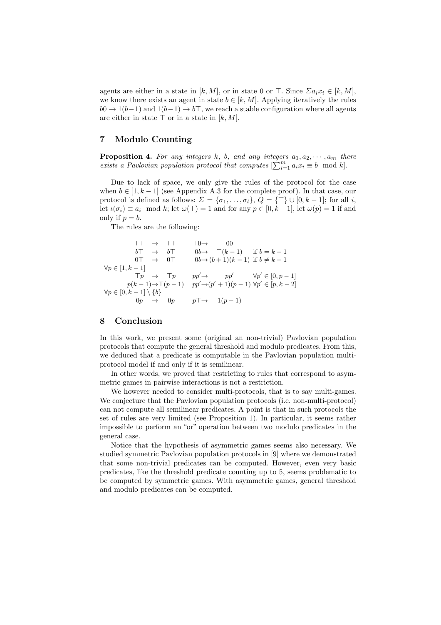agents are either in a state in  $[k, M]$ , or in state 0 or  $\top$ . Since  $\sum a_i x_i \in [k, M]$ , we know there exists an agent in state  $b \in [k, M]$ . Applying iteratively the rules  $b0 \rightarrow 1(b-1)$  and  $1(b-1) \rightarrow b$ , we reach a stable configuration where all agents are either in state  $\top$  or in a state in  $[k, M]$ .

## 7 Modulo Counting

**Proposition 4.** For any integers  $k$ ,  $b$ , and any integers  $a_1, a_2, \dots, a_m$  there *exists a Pavlovian population protocol that computes*  $[\sum_{i=1}^{m} a_i x_i \equiv b \mod k]$ .

Due to lack of space, we only give the rules of the protocol for the case when  $b \in [1, k-1]$  (see Appendix A.3 for the complete proof). In that case, our protocol is defined as follows:  $\Sigma = {\sigma_1, \ldots, \sigma_l}, Q = {\top} \cup [0, k - 1]$ ; for all *i*, let  $\iota(\sigma_i) \equiv a_i \mod k$ ; let  $\omega(\top) = 1$  and for any  $p \in [0, k-1]$ , let  $\omega(p) = 1$  if and only if  $p = b$ .

The rules are the following:

$$
\begin{array}{cccc} \top\top & \rightarrow & \top\top & \top 0 \rightarrow & 00 \\ b\top & \rightarrow & b\top & 0b \rightarrow & \top (k-1) & \text{if } b = k-1 \\ 0\top & \rightarrow & 0\top & 0b \rightarrow (b+1)(k-1) & \text{if } b \neq k-1 \\ \end{array} \label{eq:3}
$$

$$
\forall p \in [1, k-1] \qquad \qquad \begin{array}{c} \top p & \rightarrow & \top p & pp' \rightarrow & pp' & \forall p' \in [0, p-1] \\ p(k-1) \rightarrow \top (p-1) & pp' \rightarrow (p'+1)(p-1) & \forall p' \in [p, k-2] \\ 0p & \rightarrow & 0p & p\top \rightarrow & 1(p-1) \end{array}
$$

# 8 Conclusion

In this work, we present some (original an non-trivial) Pavlovian population protocols that compute the general threshold and modulo predicates. From this, we deduced that a predicate is computable in the Pavlovian population multiprotocol model if and only if it is semilinear.

In other words, we proved that restricting to rules that correspond to asymmetric games in pairwise interactions is not a restriction.

We however needed to consider multi-protocols, that is to say multi-games. We conjecture that the Pavlovian population protocols (i.e. non-multi-protocol) can not compute all semilinear predicates. A point is that in such protocols the set of rules are very limited (see Proposition 1). In particular, it seems rather impossible to perform an "or" operation between two modulo predicates in the general case.

Notice that the hypothesis of asymmetric games seems also necessary. We studied symmetric Pavlovian population protocols in [9] where we demonstrated that some non-trivial predicates can be computed. However, even very basic predicates, like the threshold predicate counting up to 5, seems problematic to be computed by symmetric games. With asymmetric games, general threshold and modulo predicates can be computed.